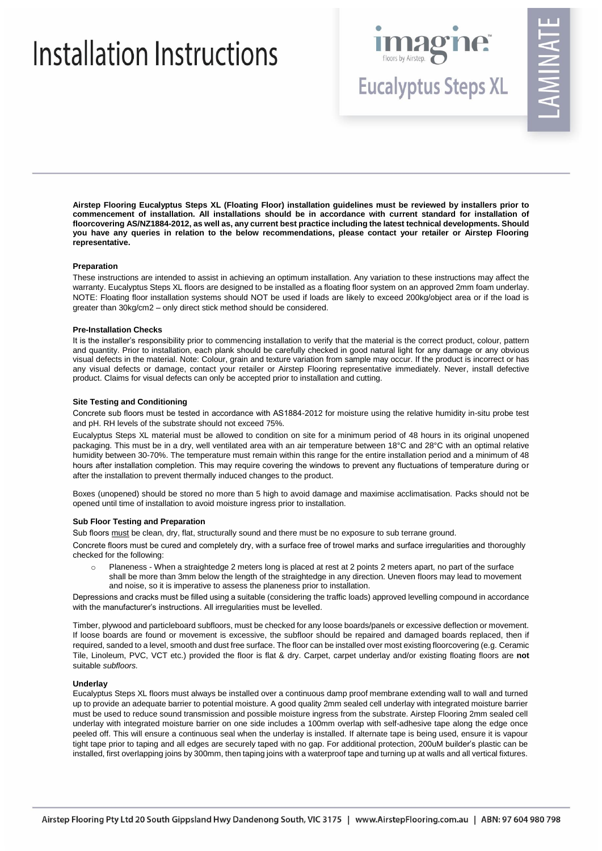# Installation Instructions



**Eucalyptus Steps XL** 

**Airstep Flooring Eucalyptus Steps XL (Floating Floor) installation guidelines must be reviewed by installers prior to commencement of installation. All installations should be in accordance with current standard for installation of floorcovering AS/NZ1884-2012, as well as, any current best practice including the latest technical developments. Should you have any queries in relation to the below recommendations, please contact your retailer or Airstep Flooring representative.**

## **Preparation**

These instructions are intended to assist in achieving an optimum installation. Any variation to these instructions may affect the warranty. Eucalyptus Steps XL floors are designed to be installed as a floating floor system on an approved 2mm foam underlay. NOTE: Floating floor installation systems should NOT be used if loads are likely to exceed 200kg/object area or if the load is greater than 30kg/cm2 – only direct stick method should be considered.

#### **Pre-Installation Checks**

It is the installer's responsibility prior to commencing installation to verify that the material is the correct product, colour, pattern and quantity. Prior to installation, each plank should be carefully checked in good natural light for any damage or any obvious visual defects in the material. Note: Colour, grain and texture variation from sample may occur. If the product is incorrect or has any visual defects or damage, contact your retailer or Airstep Flooring representative immediately. Never, install defective product. Claims for visual defects can only be accepted prior to installation and cutting.

#### **Site Testing and Conditioning**

Concrete sub floors must be tested in accordance with AS1884-2012 for moisture using the relative humidity in-situ probe test and pH. RH levels of the substrate should not exceed 75%.

Eucalyptus Steps XL material must be allowed to condition on site for a minimum period of 48 hours in its original unopened packaging. This must be in a dry, well ventilated area with an air temperature between 18°C and 28°C with an optimal relative humidity between 30-70%. The temperature must remain within this range for the entire installation period and a minimum of 48 hours after installation completion. This may require covering the windows to prevent any fluctuations of temperature during or after the installation to prevent thermally induced changes to the product.

Boxes (unopened) should be stored no more than 5 high to avoid damage and maximise acclimatisation. Packs should not be opened until time of installation to avoid moisture ingress prior to installation.

#### **Sub Floor Testing and Preparation**

Sub floors must be clean, dry, flat, structurally sound and there must be no exposure to sub terrane ground.

Concrete floors must be cured and completely dry, with a surface free of trowel marks and surface irregularities and thoroughly checked for the following:

Planeness - When a straightedge 2 meters long is placed at rest at 2 points 2 meters apart, no part of the surface shall be more than 3mm below the length of the straightedge in any direction. Uneven floors may lead to movement and noise, so it is imperative to assess the planeness prior to installation.

Depressions and cracks must be filled using a suitable (considering the traffic loads) approved levelling compound in accordance with the manufacturer's instructions. All irregularities must be levelled.

Timber, plywood and particleboard subfloors, must be checked for any loose boards/panels or excessive deflection or movement. If loose boards are found or movement is excessive, the subfloor should be repaired and damaged boards replaced, then if required, sanded to a level, smooth and dust free surface. The floor can be installed over most existing floorcovering (e.g. Ceramic Tile, Linoleum, PVC, VCT etc.) provided the floor is flat & dry. Carpet, carpet underlay and/or existing floating floors are **not** suitable *subfloors.* 

#### **Underlay**

Eucalyptus Steps XL floors must always be installed over a continuous damp proof membrane extending wall to wall and turned up to provide an adequate barrier to potential moisture. A good quality 2mm sealed cell underlay with integrated moisture barrier must be used to reduce sound transmission and possible moisture ingress from the substrate. Airstep Flooring 2mm sealed cell underlay with integrated moisture barrier on one side includes a 100mm overlap with self-adhesive tape along the edge once peeled off. This will ensure a continuous seal when the underlay is installed. If alternate tape is being used, ensure it is vapour tight tape prior to taping and all edges are securely taped with no gap. For additional protection, 200uM builder's plastic can be installed, first overlapping joins by 300mm, then taping joins with a waterproof tape and turning up at walls and all vertical fixtures.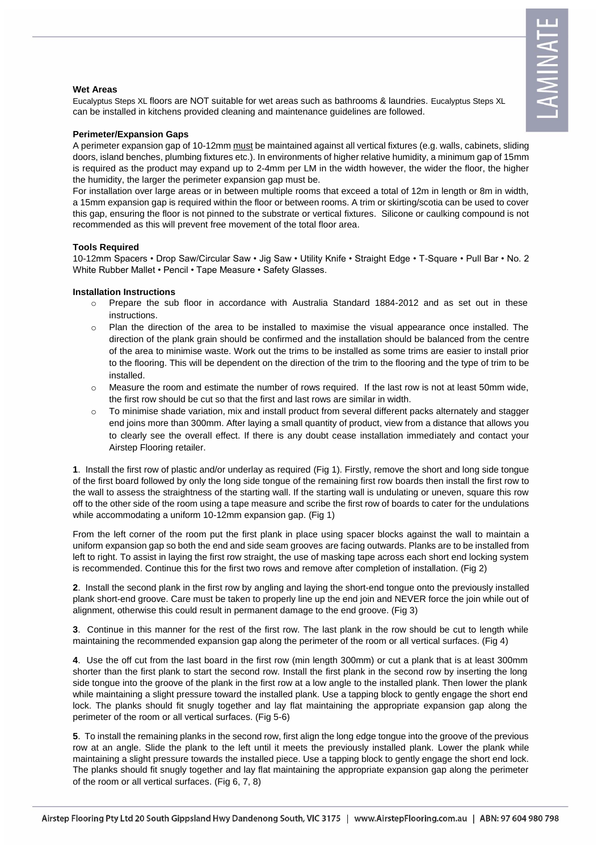### **Wet Areas**

Eucalyptus Steps XL floors are NOT suitable for wet areas such as bathrooms & laundries. Eucalyptus Steps XL can be installed in kitchens provided cleaning and maintenance guidelines are followed.

### **Perimeter/Expansion Gaps**

A perimeter expansion gap of 10-12mm must be maintained against all vertical fixtures (e.g. walls, cabinets, sliding doors, island benches, plumbing fixtures etc.). In environments of higher relative humidity, a minimum gap of 15mm is required as the product may expand up to 2-4mm per LM in the width however, the wider the floor, the higher the humidity, the larger the perimeter expansion gap must be.

For installation over large areas or in between multiple rooms that exceed a total of 12m in length or 8m in width, a 15mm expansion gap is required within the floor or between rooms. A trim or skirting/scotia can be used to cover this gap, ensuring the floor is not pinned to the substrate or vertical fixtures. Silicone or caulking compound is not recommended as this will prevent free movement of the total floor area.

### **Tools Required**

10-12mm Spacers • Drop Saw/Circular Saw • Jig Saw • Utility Knife • Straight Edge • T-Square • Pull Bar • No. 2 White Rubber Mallet • Pencil • Tape Measure • Safety Glasses.

### **Installation Instructions**

- o Prepare the sub floor in accordance with Australia Standard 1884-2012 and as set out in these instructions.
- o Plan the direction of the area to be installed to maximise the visual appearance once installed. The direction of the plank grain should be confirmed and the installation should be balanced from the centre of the area to minimise waste. Work out the trims to be installed as some trims are easier to install prior to the flooring. This will be dependent on the direction of the trim to the flooring and the type of trim to be installed.
- $\circ$  Measure the room and estimate the number of rows required. If the last row is not at least 50mm wide, the first row should be cut so that the first and last rows are similar in width.
- o To minimise shade variation, mix and install product from several different packs alternately and stagger end joins more than 300mm. After laying a small quantity of product, view from a distance that allows you to clearly see the overall effect. If there is any doubt cease installation immediately and contact your Airstep Flooring retailer.

**1**. Install the first row of plastic and/or underlay as required (Fig 1). Firstly, remove the short and long side tongue of the first board followed by only the long side tongue of the remaining first row boards then install the first row to the wall to assess the straightness of the starting wall. If the starting wall is undulating or uneven, square this row off to the other side of the room using a tape measure and scribe the first row of boards to cater for the undulations while accommodating a uniform 10-12mm expansion gap. (Fig 1)

From the left corner of the room put the first plank in place using spacer blocks against the wall to maintain a uniform expansion gap so both the end and side seam grooves are facing outwards. Planks are to be installed from left to right. To assist in laying the first row straight, the use of masking tape across each short end locking system is recommended. Continue this for the first two rows and remove after completion of installation. (Fig 2)

**2**. Install the second plank in the first row by angling and laying the short-end tongue onto the previously installed plank short-end groove. Care must be taken to properly line up the end join and NEVER force the join while out of alignment, otherwise this could result in permanent damage to the end groove. (Fig 3)

**3**. Continue in this manner for the rest of the first row. The last plank in the row should be cut to length while maintaining the recommended expansion gap along the perimeter of the room or all vertical surfaces. (Fig 4)

**4**. Use the off cut from the last board in the first row (min length 300mm) or cut a plank that is at least 300mm shorter than the first plank to start the second row. Install the first plank in the second row by inserting the long side tongue into the groove of the plank in the first row at a low angle to the installed plank. Then lower the plank while maintaining a slight pressure toward the installed plank. Use a tapping block to gently engage the short end lock. The planks should fit snugly together and lay flat maintaining the appropriate expansion gap along the perimeter of the room or all vertical surfaces. (Fig 5-6)

**5**. To install the remaining planks in the second row, first align the long edge tongue into the groove of the previous row at an angle. Slide the plank to the left until it meets the previously installed plank. Lower the plank while maintaining a slight pressure towards the installed piece. Use a tapping block to gently engage the short end lock. The planks should fit snugly together and lay flat maintaining the appropriate expansion gap along the perimeter of the room or all vertical surfaces. (Fig 6, 7, 8)